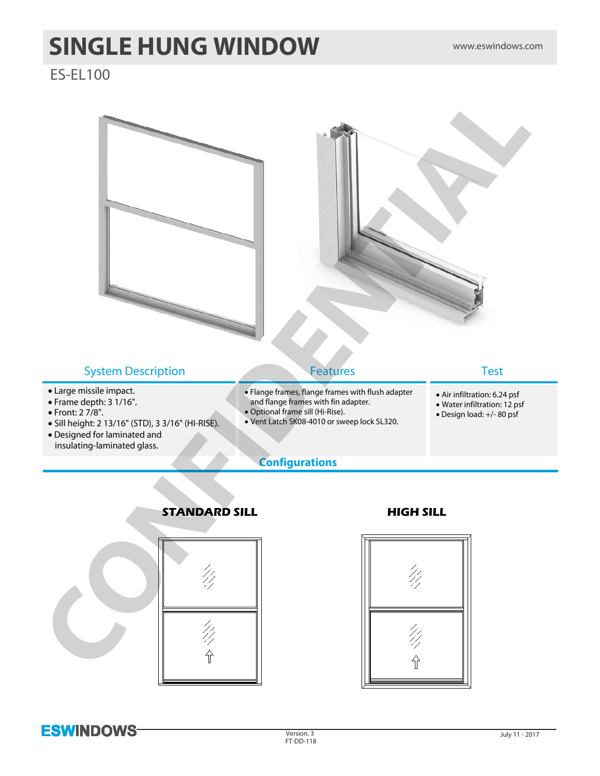# **SINGLE HUNG WINDOW** www.eswindows.com

## ES-EL100







# **ESWINDOWS**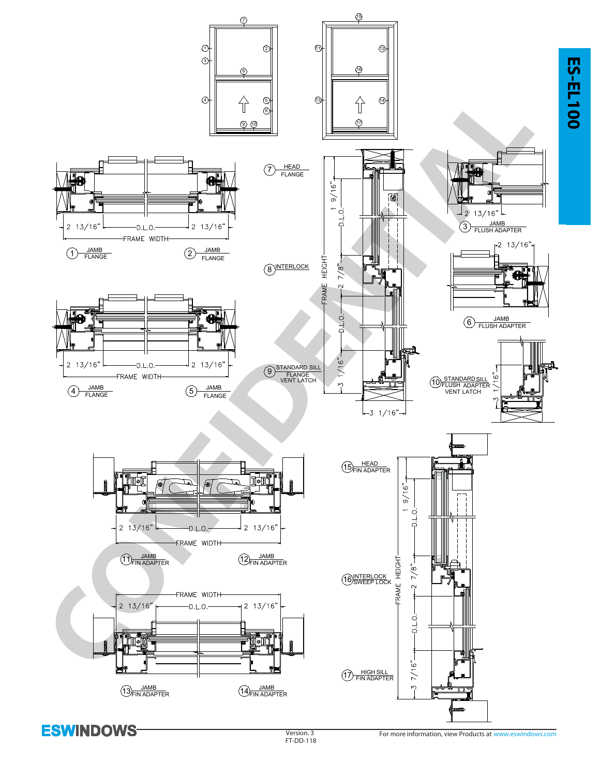

**ESWINDOWS**